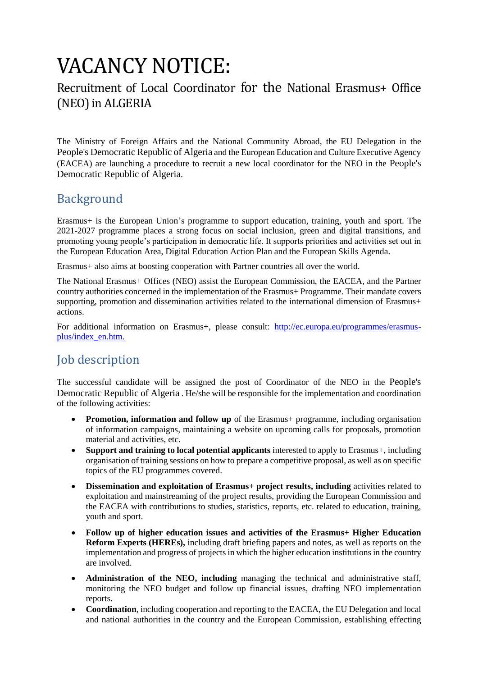# VACANCY NOTICE:

# Recruitment of Local Coordinator for the National Erasmus+ Office (NEO)in ALGERIA

The Ministry of Foreign Affairs and the National Community Abroad, the EU Delegation in the People's Democratic Republic of Algeria and the European Education and Culture Executive Agency (EACEA) are launching a procedure to recruit a new local coordinator for the NEO in the People's Democratic Republic of Algeria.

# Background

Erasmus+ is the European Union's programme to support education, training, youth and sport. The 2021-2027 programme places a strong focus on social inclusion, green and digital transitions, and promoting young people's participation in democratic life. It supports priorities and activities set out in the European Education Area, Digital Education Action Plan and the European Skills Agenda.

Erasmus+ also aims at boosting cooperation with Partner countries all over the world.

The National Erasmus+ Offices (NEO) assist the European Commission, the EACEA, and the Partner country authorities concerned in the implementation of the Erasmus+ Programme. Their mandate covers supporting, promotion and dissemination activities related to the international dimension of Erasmus+ actions.

For additional information on Erasmus+, please consult: [http://ec.europa.eu/programmes/erasmus](http://ec.europa.eu/programmes/erasmus-plus/index_en.htm)[plus/index\\_en.htm.](http://ec.europa.eu/programmes/erasmus-plus/index_en.htm)

# Job description

The successful candidate will be assigned the post of Coordinator of the NEO in the People's Democratic Republic of Algeria . He/she will be responsible for the implementation and coordination of the following activities:

- **Promotion, information and follow up** of the Erasmus+ programme, including organisation of information campaigns, maintaining a website on upcoming calls for proposals, promotion material and activities, etc.
- **Support and training to local potential applicants** interested to apply to Erasmus+, including organisation of training sessions on how to prepare a competitive proposal, as well as on specific topics of the EU programmes covered.
- **•** Dissemination and exploitation of Erasmus+ project results, including activities related to exploitation and mainstreaming of the project results, providing the European Commission and the EACEA with contributions to studies, statistics, reports, etc. related to education, training, youth and sport.
- **Follow up of higher education issues and activities of the Erasmus+ Higher Education Reform Experts (HEREs),** including draft briefing papers and notes, as well as reports on the implementation and progress of projects in which the higher education institutions in the country are involved.
- **Administration of the NEO, including** managing the technical and administrative staff, monitoring the NEO budget and follow up financial issues, drafting NEO implementation reports.
- Coordination, including cooperation and reporting to the EACEA, the EU Delegation and local and national authorities in the country and the European Commission, establishing effecting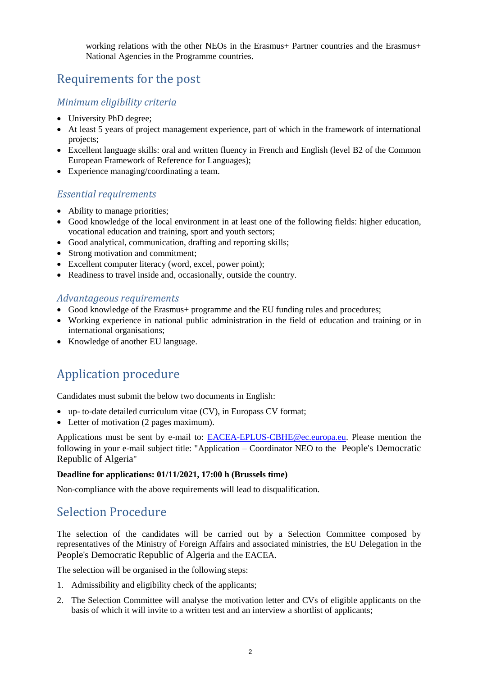working relations with the other NEOs in the Erasmus+ Partner countries and the Erasmus+ National Agencies in the Programme countries.

# Requirements for the post

### *Minimum eligibility criteria*

- University PhD degree;
- At least 5 years of project management experience, part of which in the framework of international projects;
- Excellent language skills: oral and written fluency in French and English (level B2 of the Common European Framework of Reference for Languages);
- Experience managing/coordinating a team.

### *Essential requirements*

- Ability to manage priorities;
- Good knowledge of the local environment in at least one of the following fields: higher education, vocational education and training, sport and youth sectors;
- Good analytical, communication, drafting and reporting skills;
- Strong motivation and commitment;
- Excellent computer literacy (word, excel, power point);
- Readiness to travel inside and, occasionally, outside the country.

#### *Advantageous requirements*

- Good knowledge of the Erasmus+ programme and the EU funding rules and procedures;
- Working experience in national public administration in the field of education and training or in international organisations;
- Knowledge of another EU language.

# Application procedure

Candidates must submit the below two documents in English:

- up- to-date detailed curriculum vitae (CV), in Europass CV format;
- Letter of motivation (2 pages maximum).

Applications must be sent by e-mail to: [EACEA-EPLUS-CBHE@ec.europa.eu.](mailto:EACEA-EPLUS-CBHE@ec.europa.eu) Please mention the following in your e-mail subject title: "Application – Coordinator NEO to the People's Democratic Republic of Algeria"

#### **Deadline for applications: 01/11/2021, 17:00 h (Brussels time)**

Non-compliance with the above requirements will lead to disqualification.

### Selection Procedure

The selection of the candidates will be carried out by a Selection Committee composed by representatives of the Ministry of Foreign Affairs and associated ministries, the EU Delegation in the People's Democratic Republic of Algeria and the EACEA.

The selection will be organised in the following steps:

- 1. Admissibility and eligibility check of the applicants;
- 2. The Selection Committee will analyse the motivation letter and CVs of eligible applicants on the basis of which it will invite to a written test and an interview a shortlist of applicants;